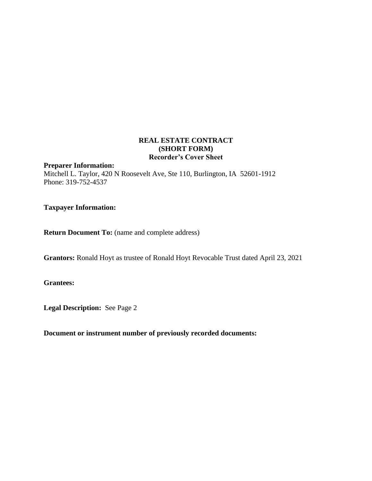### **REAL ESTATE CONTRACT (SHORT FORM) Recorder's Cover Sheet**

#### **Preparer Information:**

Mitchell L. Taylor, 420 N Roosevelt Ave, Ste 110, Burlington, IA 52601-1912 Phone: 319-752-4537

**Taxpayer Information:** 

**Return Document To:** (name and complete address)

**Grantors:** Ronald Hoyt as trustee of Ronald Hoyt Revocable Trust dated April 23, 2021

**Grantees:** 

**Legal Description:** See Page 2

**Document or instrument number of previously recorded documents:**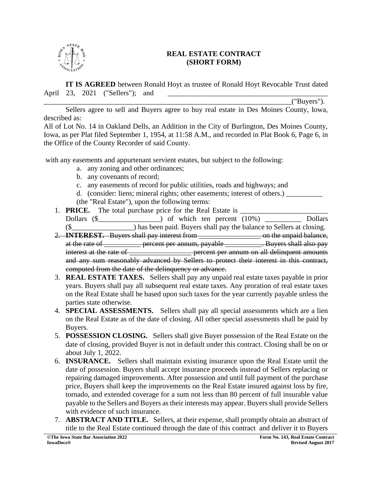

## **REAL ESTATE CONTRACT (SHORT FORM)**

**IT IS AGREED** between Ronald Hoyt as trustee of Ronald Hoyt Revocable Trust dated April 23, 2021 ("Sellers"); and

 $('Buyers").$ 

Sellers agree to sell and Buyers agree to buy real estate in Des Moines County, Iowa, described as:

All of Lot No. 14 in Oakland Dells, an Addition in the City of Burlington, Des Moines County, Iowa, as per Plat filed September 1, 1954, at 11:58 A.M., and recorded in Plat Book 6, Page 6, in the Office of the County Recorder of said County.

with any easements and appurtenant servient estates, but subject to the following:

- a. any zoning and other ordinances;
- b. any covenants of record;
- c. any easements of record for public utilities, roads and highways; and
- d. (consider: liens; mineral rights; other easements; interest of others.) (the "Real Estate"), upon the following terms:
- 1. **PRICE.** The total purchase price for the Real Estate is \_\_\_\_\_\_\_\_\_\_\_\_\_\_\_\_\_\_\_\_\_\_\_\_ Dollars  $(\text{\$} \qquad \qquad )$  of which ten percent  $(10\%)$  Dollars (\$\_\_\_\_\_\_\_\_\_\_\_\_\_\_\_\_\_) has been paid. Buyers shall pay the balance to Sellers at closing.
- 2. **INTEREST.** Buyers shall pay interest from \_\_\_\_\_\_\_\_\_\_\_\_\_\_\_\_\_ on the unpaid balance, at the rate of <u>example percent per annum, payable Buyers shall also pay</u> in the state  $\frac{1}{\sqrt{1-\frac{1}{n}}}$  is the rate of \_\_\_\_\_\_\_\_\_\_\_\_\_\_\_\_\_\_\_\_\_\_\_ percent per annum on all delinquent amounts and any sum reasonably advanced by Sellers to protect their interest in this contract, computed from the date of the delinquency or advance.
- 3. **REAL ESTATE TAXES.** Sellers shall pay any unpaid real estate taxes payable in prior years. Buyers shall pay all subsequent real estate taxes. Any proration of real estate taxes on the Real Estate shall be based upon such taxes for the year currently payable unless the parties state otherwise.
- 4. **SPECIAL ASSESSMENTS.** Sellers shall pay all special assessments which are a lien on the Real Estate as of the date of closing. All other special assessments shall be paid by Buyers.
- 5. **POSSESSION CLOSING.** Sellers shall give Buyer possession of the Real Estate on the date of closing, provided Buyer is not in default under this contract. Closing shall be on or about July 1, 2022.
- 6. **INSURANCE.** Sellers shall maintain existing insurance upon the Real Estate until the date of possession. Buyers shall accept insurance proceeds instead of Sellers replacing or repairing damaged improvements. After possession and until full payment of the purchase price, Buyers shall keep the improvements on the Real Estate insured against loss by fire, tornado, and extended coverage for a sum not less than 80 percent of full insurable value payable to the Sellers and Buyers as their interests may appear. Buyers shall provide Sellers with evidence of such insurance.
- 7. **ABSTRACT AND TITLE.** Sellers, at their expense, shall promptly obtain an abstract of title to the Real Estate continued through the date of this contract and deliver it to Buyers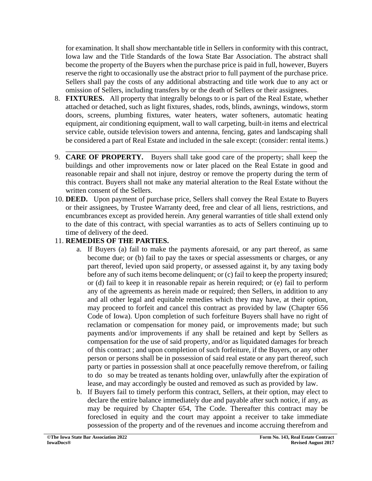for examination. It shall show merchantable title in Sellers in conformity with this contract, Iowa law and the Title Standards of the Iowa State Bar Association. The abstract shall become the property of the Buyers when the purchase price is paid in full, however, Buyers reserve the right to occasionally use the abstract prior to full payment of the purchase price. Sellers shall pay the costs of any additional abstracting and title work due to any act or omission of Sellers, including transfers by or the death of Sellers or their assignees.

- 8. **FIXTURES.** All property that integrally belongs to or is part of the Real Estate, whether attached or detached, such as light fixtures, shades, rods, blinds, awnings, windows, storm doors, screens, plumbing fixtures, water heaters, water softeners, automatic heating equipment, air conditioning equipment, wall to wall carpeting, built-in items and electrical service cable, outside television towers and antenna, fencing, gates and landscaping shall be considered a part of Real Estate and included in the sale except: (consider: rental items.)
- \_\_\_\_\_\_\_\_\_\_\_\_\_\_\_\_\_\_\_\_\_\_\_\_\_\_\_\_\_\_\_\_\_\_\_\_\_\_\_\_\_\_\_\_\_\_\_\_\_\_\_\_\_\_\_\_\_\_\_\_\_\_\_\_\_\_\_\_\_ 9. **CARE OF PROPERTY.** Buyers shall take good care of the property; shall keep the buildings and other improvements now or later placed on the Real Estate in good and reasonable repair and shall not injure, destroy or remove the property during the term of this contract. Buyers shall not make any material alteration to the Real Estate without the written consent of the Sellers.
- 10. **DEED.** Upon payment of purchase price, Sellers shall convey the Real Estate to Buyers or their assignees, by Trustee Warranty deed, free and clear of all liens, restrictions, and encumbrances except as provided herein. Any general warranties of title shall extend only to the date of this contract, with special warranties as to acts of Sellers continuing up to time of delivery of the deed.

# 11. **REMEDIES OF THE PARTIES.**

- a. If Buyers (a) fail to make the payments aforesaid, or any part thereof, as same become due; or (b) fail to pay the taxes or special assessments or charges, or any part thereof, levied upon said property, or assessed against it, by any taxing body before any of such items become delinquent; or (c) fail to keep the property insured; or (d) fail to keep it in reasonable repair as herein required; or (e) fail to perform any of the agreements as herein made or required; then Sellers, in addition to any and all other legal and equitable remedies which they may have, at their option, may proceed to forfeit and cancel this contract as provided by law (Chapter 656 Code of Iowa). Upon completion of such forfeiture Buyers shall have no right of reclamation or compensation for money paid, or improvements made; but such payments and/or improvements if any shall be retained and kept by Sellers as compensation for the use of said property, and/or as liquidated damages for breach of this contract ; and upon completion of such forfeiture, if the Buyers, or any other person or persons shall be in possession of said real estate or any part thereof, such party or parties in possession shall at once peacefully remove therefrom, or failing to do so may be treated as tenants holding over, unlawfully after the expiration of lease, and may accordingly be ousted and removed as such as provided by law.
- b. If Buyers fail to timely perform this contract, Sellers, at their option, may elect to declare the entire balance immediately due and payable after such notice, if any, as may be required by Chapter 654, The Code. Thereafter this contract may be foreclosed in equity and the court may appoint a receiver to take immediate possession of the property and of the revenues and income accruing therefrom and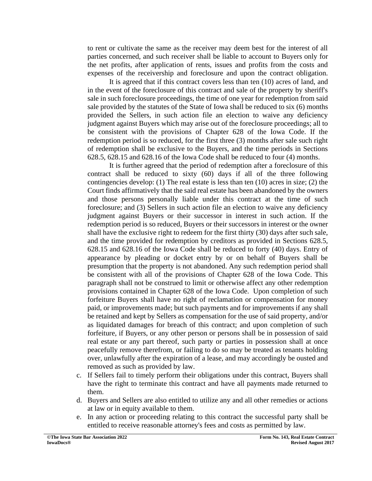to rent or cultivate the same as the receiver may deem best for the interest of all parties concerned, and such receiver shall be liable to account to Buyers only for the net profits, after application of rents, issues and profits from the costs and expenses of the receivership and foreclosure and upon the contract obligation.

It is agreed that if this contract covers less than ten (10) acres of land, and in the event of the foreclosure of this contract and sale of the property by sheriff's sale in such foreclosure proceedings, the time of one year for redemption from said sale provided by the statutes of the State of Iowa shall be reduced to six (6) months provided the Sellers, in such action file an election to waive any deficiency judgment against Buyers which may arise out of the foreclosure proceedings; all to be consistent with the provisions of Chapter 628 of the Iowa Code. If the redemption period is so reduced, for the first three (3) months after sale such right of redemption shall be exclusive to the Buyers, and the time periods in Sections 628.5, 628.15 and 628.16 of the Iowa Code shall be reduced to four (4) months.

It is further agreed that the period of redemption after a foreclosure of this contract shall be reduced to sixty (60) days if all of the three following contingencies develop: (1) The real estate is less than ten  $(10)$  acres in size; (2) the Court finds affirmatively that the said real estate has been abandoned by the owners and those persons personally liable under this contract at the time of such foreclosure; and (3) Sellers in such action file an election to waive any deficiency judgment against Buyers or their successor in interest in such action. If the redemption period is so reduced, Buyers or their successors in interest or the owner shall have the exclusive right to redeem for the first thirty (30) days after such sale, and the time provided for redemption by creditors as provided in Sections 628.5, 628.15 and 628.16 of the Iowa Code shall be reduced to forty (40) days. Entry of appearance by pleading or docket entry by or on behalf of Buyers shall be presumption that the property is not abandoned. Any such redemption period shall be consistent with all of the provisions of Chapter 628 of the Iowa Code. This paragraph shall not be construed to limit or otherwise affect any other redemption provisions contained in Chapter 628 of the Iowa Code. Upon completion of such forfeiture Buyers shall have no right of reclamation or compensation for money paid, or improvements made; but such payments and for improvements if any shall be retained and kept by Sellers as compensation for the use of said property, and/or as liquidated damages for breach of this contract; and upon completion of such forfeiture, if Buyers, or any other person or persons shall be in possession of said real estate or any part thereof, such party or parties in possession shall at once peacefully remove therefrom, or failing to do so may be treated as tenants holding over, unlawfully after the expiration of a lease, and may accordingly be ousted and removed as such as provided by law.

- c. If Sellers fail to timely perform their obligations under this contract, Buyers shall have the right to terminate this contract and have all payments made returned to them.
- d. Buyers and Sellers are also entitled to utilize any and all other remedies or actions at law or in equity available to them.
- e. In any action or proceeding relating to this contract the successful party shall be entitled to receive reasonable attorney's fees and costs as permitted by law.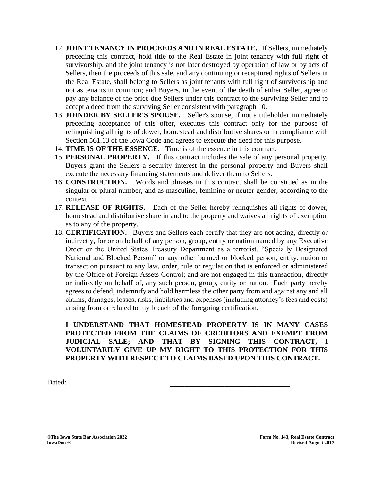- 12. **JOINT TENANCY IN PROCEEDS AND IN REAL ESTATE.** If Sellers, immediately preceding this contract, hold title to the Real Estate in joint tenancy with full right of survivorship, and the joint tenancy is not later destroyed by operation of law or by acts of Sellers, then the proceeds of this sale, and any continuing or recaptured rights of Sellers in the Real Estate, shall belong to Sellers as joint tenants with full right of survivorship and not as tenants in common; and Buyers, in the event of the death of either Seller, agree to pay any balance of the price due Sellers under this contract to the surviving Seller and to accept a deed from the surviving Seller consistent with paragraph 10.
- 13. **JOINDER BY SELLER'S SPOUSE.** Seller's spouse, if not a titleholder immediately preceding acceptance of this offer, executes this contract only for the purpose of relinquishing all rights of dower, homestead and distributive shares or in compliance with Section 561.13 of the Iowa Code and agrees to execute the deed for this purpose.
- 14. **TIME IS OF THE ESSENCE.** Time is of the essence in this contract.
- 15. **PERSONAL PROPERTY.** If this contract includes the sale of any personal property, Buyers grant the Sellers a security interest in the personal property and Buyers shall execute the necessary financing statements and deliver them to Sellers.
- 16. **CONSTRUCTION.** Words and phrases in this contract shall be construed as in the singular or plural number, and as masculine, feminine or neuter gender, according to the context.
- 17. **RELEASE OF RIGHTS.** Each of the Seller hereby relinquishes all rights of dower, homestead and distributive share in and to the property and waives all rights of exemption as to any of the property.
- 18. **CERTIFICATION.** Buyers and Sellers each certify that they are not acting, directly or indirectly, for or on behalf of any person, group, entity or nation named by any Executive Order or the United States Treasury Department as a terrorist, "Specially Designated National and Blocked Person" or any other banned or blocked person, entity, nation or transaction pursuant to any law, order, rule or regulation that is enforced or administered by the Office of Foreign Assets Control; and are not engaged in this transaction, directly or indirectly on behalf of, any such person, group, entity or nation. Each party hereby agrees to defend, indemnify and hold harmless the other party from and against any and all claims, damages, losses, risks, liabilities and expenses (including attorney's fees and costs) arising from or related to my breach of the foregoing certification.

**I UNDERSTAND THAT HOMESTEAD PROPERTY IS IN MANY CASES PROTECTED FROM THE CLAIMS OF CREDITORS AND EXEMPT FROM JUDICIAL SALE; AND THAT BY SIGNING THIS CONTRACT, I VOLUNTARILY GIVE UP MY RIGHT TO THIS PROTECTION FOR THIS PROPERTY WITH RESPECT TO CLAIMS BASED UPON THIS CONTRACT.**

Dated: \_\_\_\_\_\_\_\_\_\_\_\_\_\_\_\_\_\_\_\_\_\_\_\_\_\_ **\_\_\_\_\_\_\_\_\_\_\_\_\_\_\_\_\_\_\_\_\_\_\_\_\_\_\_\_\_\_\_\_\_**